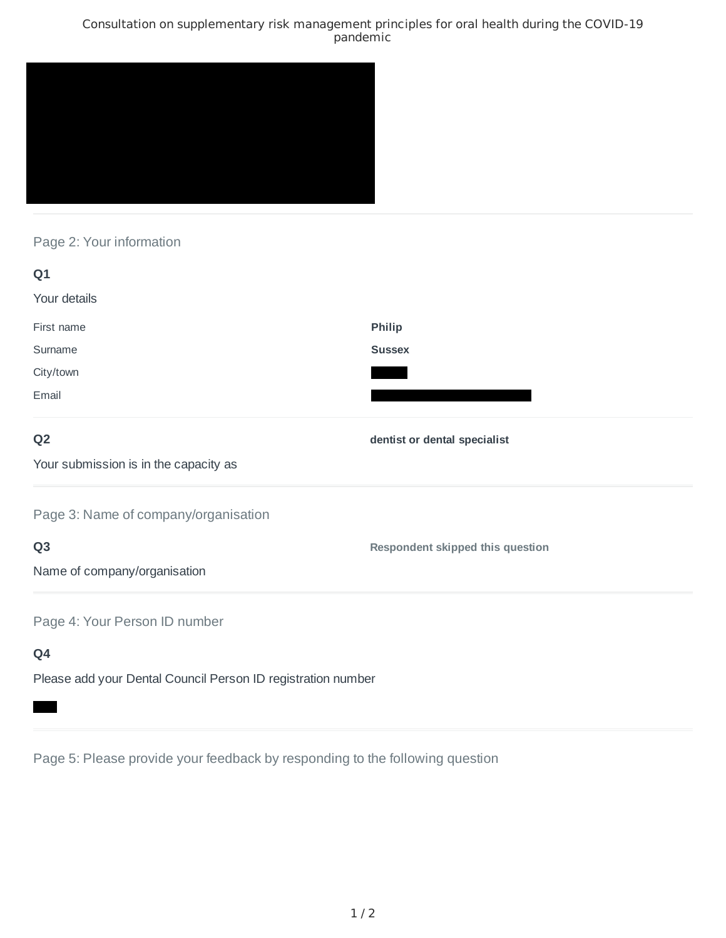### Consultation on supplementary risk management principles for oral health during the COVID-19 pandemic



# Page 2: Your information

| Q1                                                           |                                         |
|--------------------------------------------------------------|-----------------------------------------|
| Your details                                                 |                                         |
| First name                                                   | <b>Philip</b>                           |
| Surname                                                      | <b>Sussex</b>                           |
| City/town                                                    |                                         |
| Email                                                        |                                         |
| Q <sub>2</sub>                                               | dentist or dental specialist            |
| Your submission is in the capacity as                        |                                         |
| Page 3: Name of company/organisation                         |                                         |
| Q <sub>3</sub>                                               | <b>Respondent skipped this question</b> |
| Name of company/organisation                                 |                                         |
| Page 4: Your Person ID number                                |                                         |
| Q4                                                           |                                         |
| Please add your Dental Council Person ID registration number |                                         |

Page 5: Please provide your feedback by responding to the following question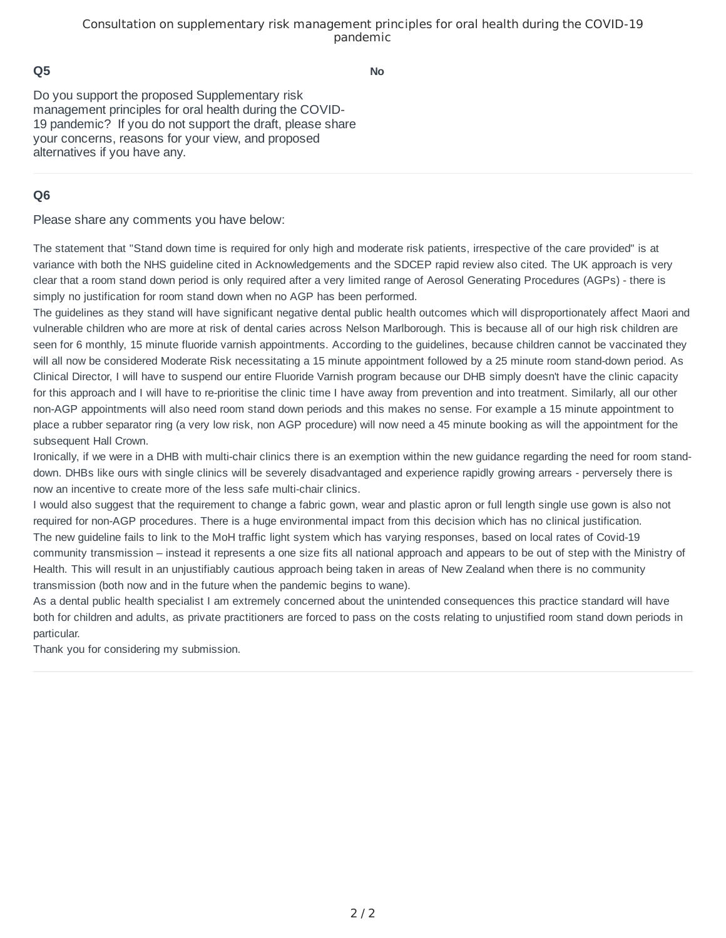#### Consultation on supplementary risk management principles for oral health during the COVID-19 pandemic

### **Q5**

**No**

Do you support the proposed Supplementary risk management principles for oral health during the COVID-19 pandemic? If you do not support the draft, please share your concerns, reasons for your view, and proposed alternatives if you have any.

## **Q6**

Please share any comments you have below:

The statement that "Stand down time is required for only high and moderate risk patients, irrespective of the care provided" is at variance with both the NHS guideline cited in Acknowledgements and the SDCEP rapid review also cited. The UK approach is very clear that a room stand down period is only required after a very limited range of Aerosol Generating Procedures (AGPs) - there is simply no justification for room stand down when no AGP has been performed.

The guidelines as they stand will have significant negative dental public health outcomes which will disproportionately affect Maori and vulnerable children who are more at risk of dental caries across Nelson Marlborough. This is because all of our high risk children are seen for 6 monthly, 15 minute fluoride varnish appointments. According to the quidelines, because children cannot be vaccinated they will all now be considered Moderate Risk necessitating a 15 minute appointment followed by a 25 minute room stand-down period. As Clinical Director, I will have to suspend our entire Fluoride Varnish program because our DHB simply doesn't have the clinic capacity for this approach and I will have to re-prioritise the clinic time I have away from prevention and into treatment. Similarly, all our other non-AGP appointments will also need room stand down periods and this makes no sense. For example a 15 minute appointment to place a rubber separator ring (a very low risk, non AGP procedure) will now need a 45 minute booking as will the appointment for the subsequent Hall Crown.

Ironically, if we were in a DHB with multi-chair clinics there is an exemption within the new guidance regarding the need for room standdown. DHBs like ours with single clinics will be severely disadvantaged and experience rapidly growing arrears - perversely there is now an incentive to create more of the less safe multi-chair clinics.

I would also suggest that the requirement to change a fabric gown, wear and plastic apron or full length single use gown is also not required for non-AGP procedures. There is a huge environmental impact from this decision which has no clinical justification. The new guideline fails to link to the MoH traffic light system which has varying responses, based on local rates of Covid-19 community transmission – instead it represents a one size fits all national approach and appears to be out of step with the Ministry of Health. This will result in an unjustifiably cautious approach being taken in areas of New Zealand when there is no community transmission (both now and in the future when the pandemic begins to wane).

As a dental public health specialist I am extremely concerned about the unintended consequences this practice standard will have both for children and adults, as private practitioners are forced to pass on the costs relating to unjustified room stand down periods in particular.

Thank you for considering my submission.